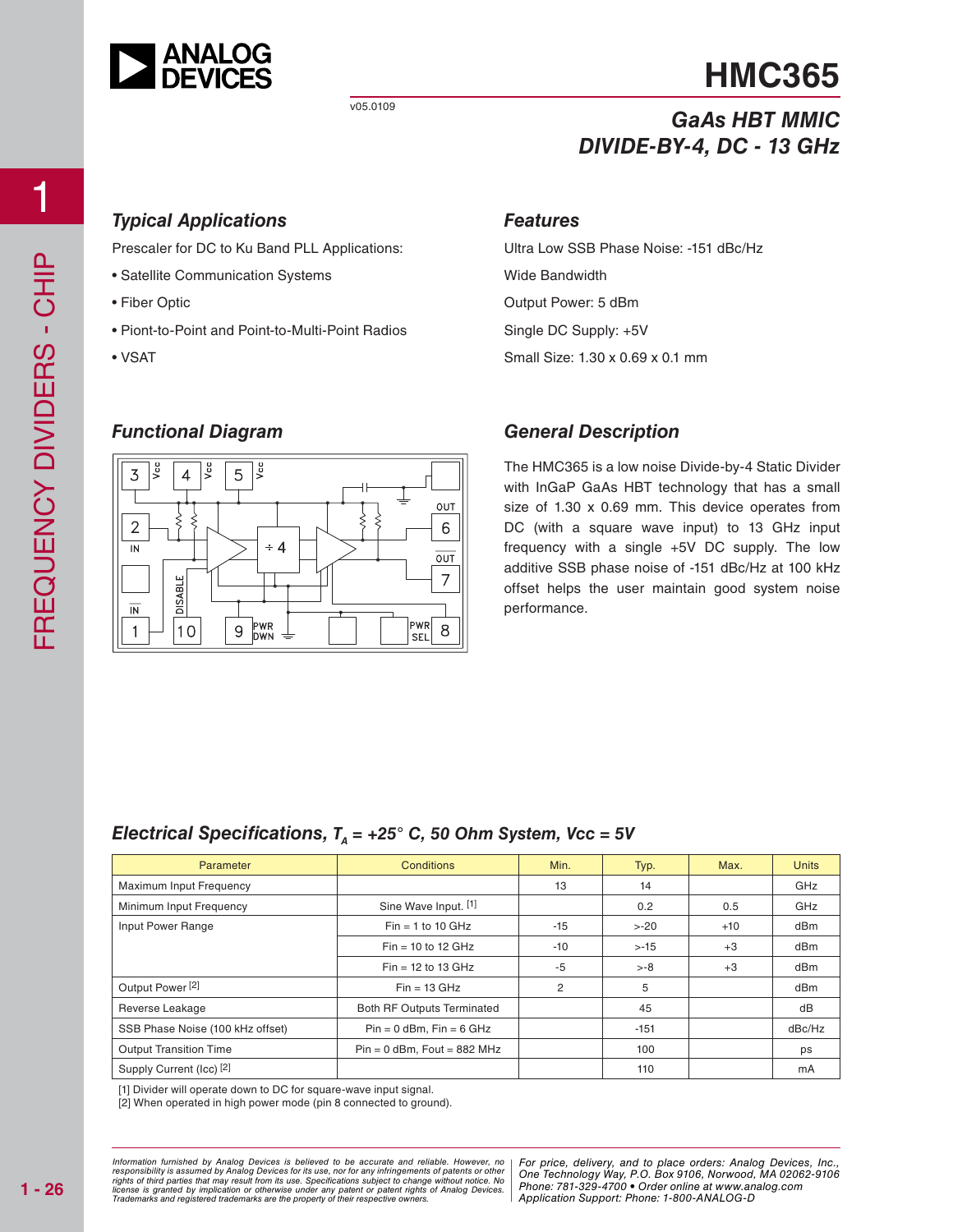

# **HMC365**

# *GaAs HBT MMIC DIVIDE-BY-4, DC - 13 GHz*

### *Typical Applications*

Prescaler for DC to Ku Band PLL Applications:

- Satellite Communication Systems
- Fiber Optic
- Piont-to-Point and Point-to-Multi-Point Radios
- VSAT

### *Features*

Ultra Low SSB Phase Noise: -151 dBc/Hz Wide Bandwidth Output Power: 5 dBm Single DC Supply: +5V Small Size: 1.30 x 0.69 x 0.1 mm

## *Functional Diagram*



### *General Description*

The HMC365 is a low noise Divide-by-4 Static Divider with InGaP GaAs HBT technology that has a small size of 1.30 x 0.69 mm. This device operates from DC (with a square wave input) to 13 GHz input frequency with a single +5V DC supply. The low additive SSB phase noise of -151 dBc/Hz at 100 kHz offset helps the user maintain good system noise performance.

### *Electrical Specifications,*  $T_a$  = +25° C, 50 Ohm System, Vcc = 5V

| Parameter                        | <b>Conditions</b>                 | Min.  | Typ.    | Max.  | <b>Units</b> |
|----------------------------------|-----------------------------------|-------|---------|-------|--------------|
| Maximum Input Frequency          |                                   | 13    | 14      |       | GHz          |
| Minimum Input Frequency          | Sine Wave Input. [1]              |       | 0.2     | 0.5   | GHz          |
| Input Power Range                | $Fin = 1$ to 10 GHz               | $-15$ | $> -20$ | $+10$ | dBm          |
|                                  | $Fin = 10$ to 12 GHz              | $-10$ | $> -15$ | $+3$  | dBm          |
|                                  | $Fin = 12$ to 13 GHz              | -5    | $> -8$  | $+3$  | dBm          |
| Output Power <sup>[2]</sup>      | $Fin = 13 \text{ GHz}$            | 2     | 5       |       | dBm          |
| Reverse Leakage                  | <b>Both RF Outputs Terminated</b> |       | 45      |       | dB           |
| SSB Phase Noise (100 kHz offset) | $Pin = 0$ dBm, $Fin = 6$ GHz      |       | $-151$  |       | dBc/Hz       |
| <b>Output Transition Time</b>    | $Pin = 0$ dBm, Fout = 882 MHz     |       | 100     |       | ps           |
| Supply Current (Icc) [2]         |                                   |       | 110     |       | mA           |

[1] Divider will operate down to DC for square-wave input signal.

[2] When operated in high power mode (pin 8 connected to ground).

at may result from its use. Specifications subject to change without notice. No **change in the change of the ch**<br>polication or otherwise under any patent or patent rights of Analog Devices Phone: 781-329-4700 • Order onlin pective owners. The Contract of Application St *Information furnished by Analog Devices is believed to be accurate and reliable. However, no*  responsibility is assumed by Analog Devices for its use, nor for any infringements of patents or other<br>rights of third parties that may result from its use. Specifications subject to change without notice. No<br>license is gr

d by Analog Devices is believed to be accurate and reliable. However, no | For price, delivery, and to place orders: Analog Devices, Inc.,<br>umed by Analog Devices for its use, not for any infringements of patents or other | *Phone: 781-329-4700 • Order online at www.analog.com Application Support: Phone: 1-800-ANALOG-D*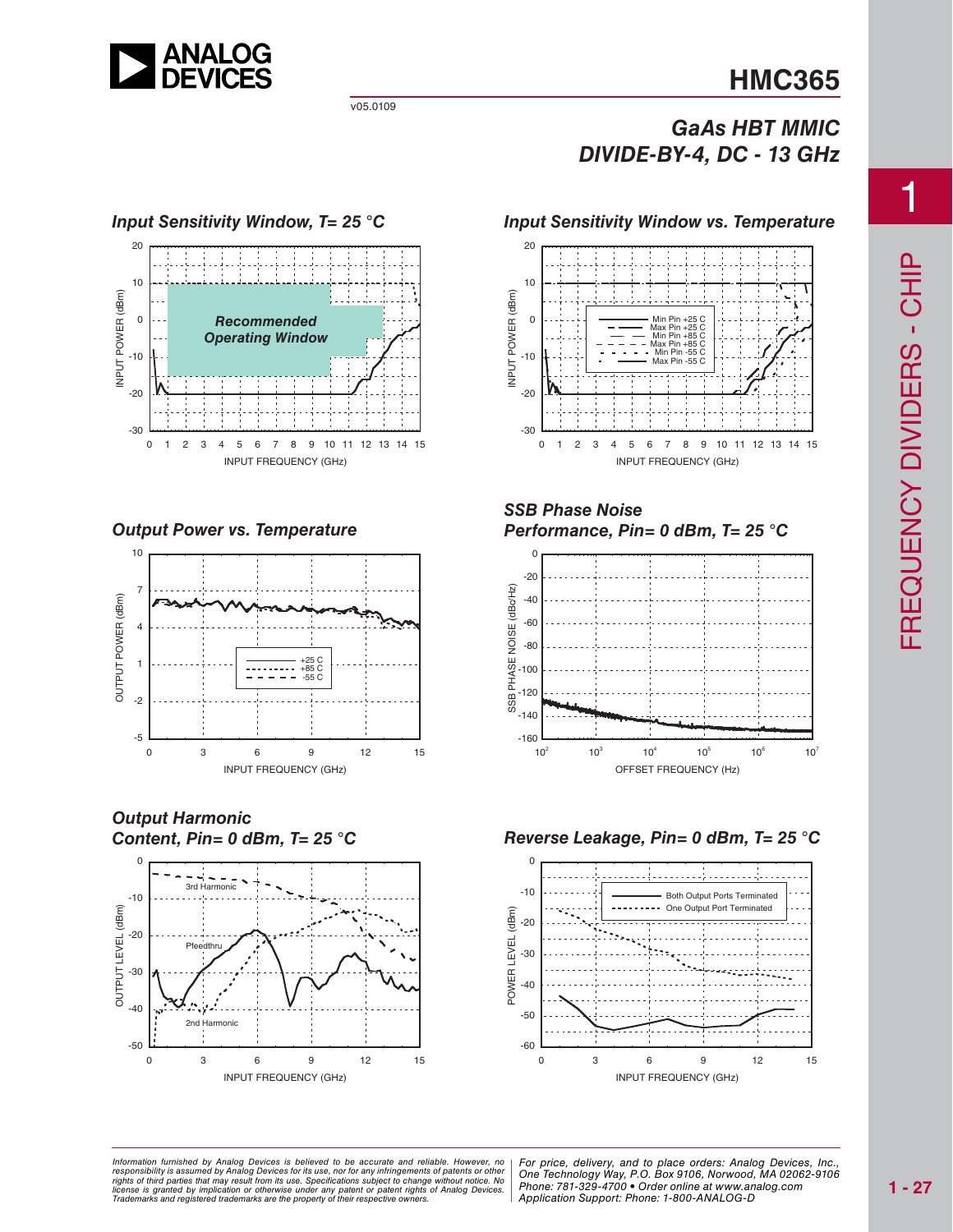

# **HMC365**

## *GaAs HBT MMIC DIVIDE-BY-4, DC - 13 GHz*

### 20 10 NPUT POWER (dBm) INPUT POWER (dBm) 0 *Recommended Operating Window*  $-10$  $-20$ -30 0 1 2 3 4 5 6 7 8 9 10 11 12 13 14 15 INPUT FREQUENCY (GHz)

*Output Power vs. Temperature*



*Output Harmonic Content, Pin= 0 dBm, T= 25 °C*







### *SSB Phase Noise Performance, Pin= 0 dBm, T= 25 °C*



### *Reverse Leakage, Pin= 0 dBm, T= 25 °C*



at may result from its use. Specifications subject to change without notice. No<br>mplication or otherwise under any patent or patent rights of Analog Devices Phone: 781-329-4700 • Order online at www.a spective owners.  $\blacksquare$  Application S *Information furnished by Analog Devices is believed to be accurate and reliable. However, no*  responsibility is assumed by Analog Devices for its use, nor for any infringements of patents or other<br>rights of third parties that may result from its use. Specifications subject to change without notice. No<br>license is gr

ed by Analog Devices is believed to be accurate and reliable. However, no | For price, delivery, and to place orders: Analog Devices, Inc.,<br>umed by Analog Devices for its use, not for any infringements of patents or other *Phone: 781-329-4700 • Order online at www.analog.com Application Support: Phone: 1-800-ANALOG-D*

1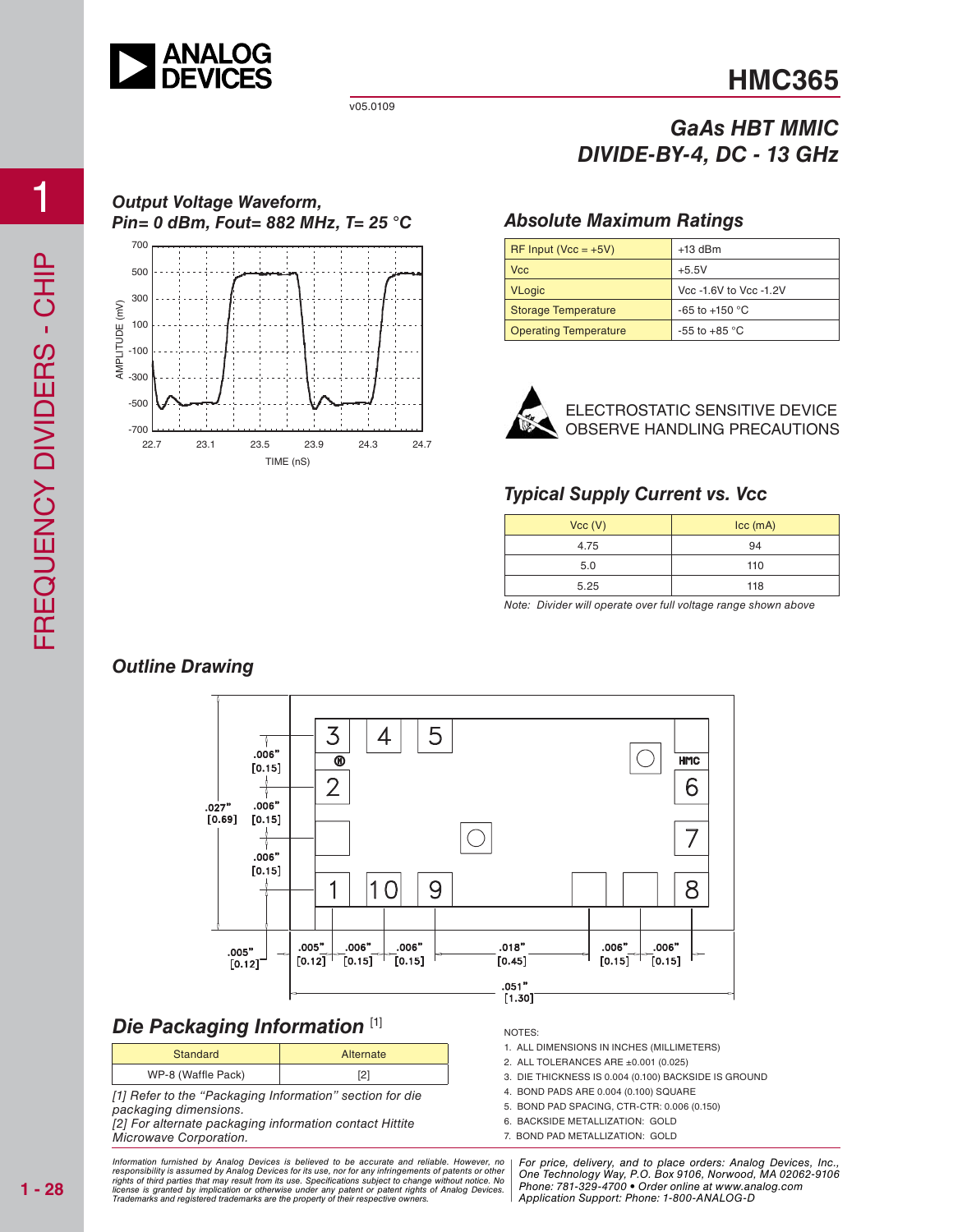

*Output Voltage Waveform,*

22.7 23.1 23.5 23.9 24.3 24.7

TIME (nS)

v05.0109

# **HMC365**

## *GaAs HBT MMIC DIVIDE-BY-4, DC - 13 GHz*

### *Pin= 0 dBm, Fout= 882 MHz, T= 25 °C Absolute Maximum Ratings*

| $R =$ Input (Vcc = +5V)      | $+13$ dBm              |  |  |
|------------------------------|------------------------|--|--|
| <b>Vcc</b>                   | $+5.5V$                |  |  |
| <b>VLogic</b>                | Vcc -1.6V to Vcc -1.2V |  |  |
| Storage Temperature          | $-65$ to $+150$ °C     |  |  |
| <b>Operating Temperature</b> | -55 to +85 $\degree$ C |  |  |



ELECTROSTATIC SENSITIVE DEVICE OBSERVE HANDLING PRECAUTIONS

### *Typical Supply Current vs. Vcc*

| Vcc (V) | $\text{Icc}$ (mA) |  |
|---------|-------------------|--|
| 4.75    | 94                |  |
| 5.0     | 110               |  |
| 5.25    | 118               |  |

Note: Divider will operate over full voltage range shown above



### *Die Packaging Information* [1]

| Standard           | Alternate |  |
|--------------------|-----------|--|
| WP-8 (Waffle Pack) |           |  |

[1] Refer to the "Packaging Information" section for die packaging dimensions.

[2] For alternate packaging information contact Hittite Microwave Corporation.

at may result from its use. Specifications subject to change without notice. No **change in the change of the ch**<br>polication or otherwise under any patent or patent rights of Analog Devices Phone: 781-329-4700 • Order onlin pective owners. The Contract of Application St *Information furnished by Analog Devices is believed to be accurate and reliable. However, no*  responsibility is assumed by Analog Devices for its use, nor for any infringements of patents or other<br>rights of third parties that may result from its use. Specifications subject to change without notice. No<br>license is gr

#### NOTES:

- 1. ALL DIMENSIONS IN INCHES (MILLIMETERS)
- 2. ALL TOLERANCES ARE ±0.001 (0.025)
- 3. DIE THICKNESS IS 0.004 (0.100) BACKSIDE IS GROUND
- 4. BOND PADS ARE 0.004 (0.100) SQUARE
- 5. BOND PAD SPACING, CTR-CTR: 0.006 (0.150)
- 6. BACKSIDE METALLIZATION: GOLD
- 7. BOND PAD METALLIZATION: GOLD

d by Analog Devices is believed to be accurate and reliable. However, no | For price, delivery, and to place orders: Analog Devices, Inc.,<br>umed by Analog Devices for its use, not for any infringements of patents or other | *Phone: 781-329-4700 • Order online at www.analog.com Application Support: Phone: 1-800-ANALOG-D*

-700  $-500$  $-300$  $-100$ 100 300 500 700

AMPLITUDE (mV)

AMPLITUDE (mV)

### *Outline Drawing*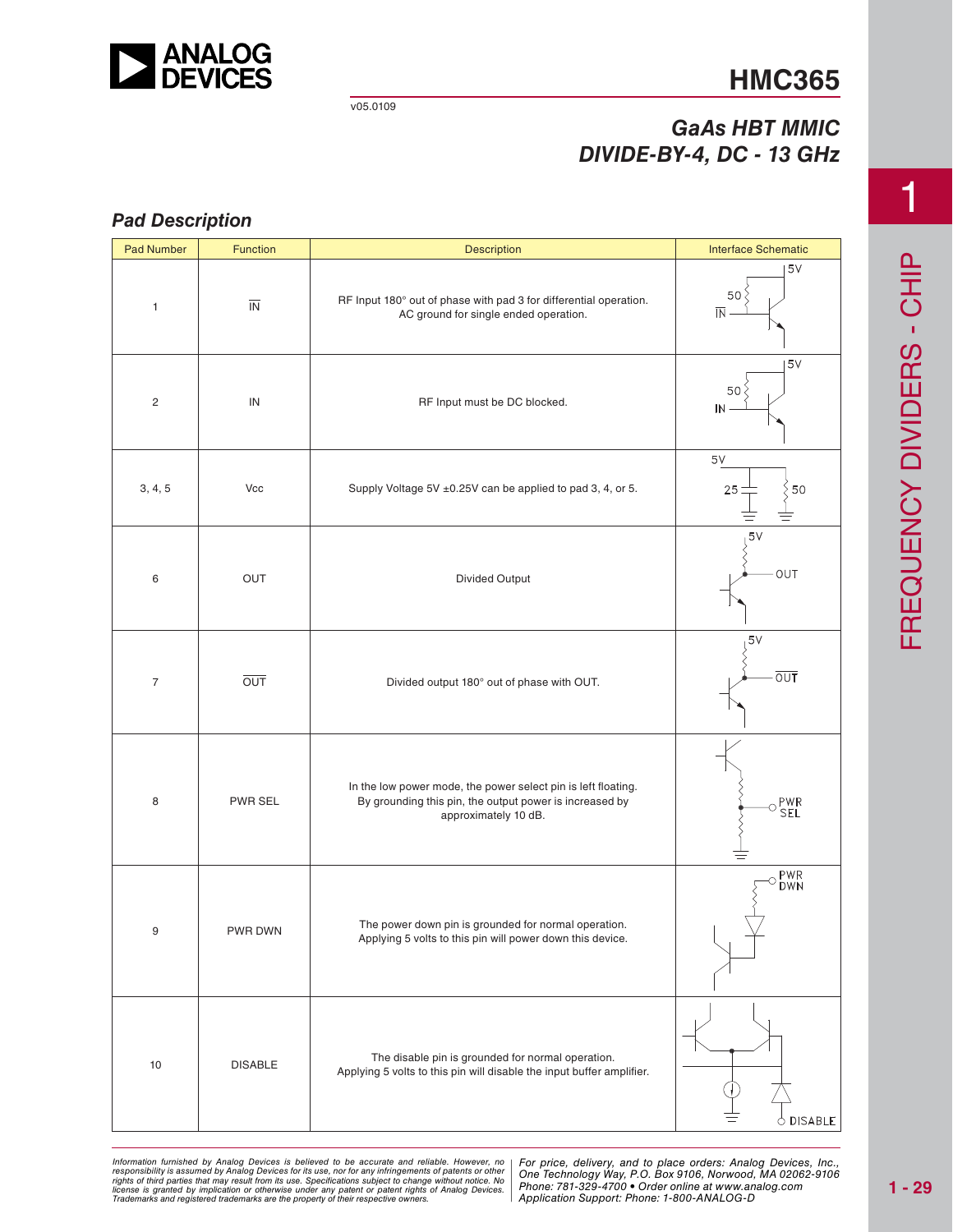

# **HMC365**

## *GaAs HBT MMIC DIVIDE-BY-4, DC - 13 GHz*

### *Pad Description*

| <b>Pad Number</b> | Function                 | <b>Description</b>                                                                                                                               | <b>Interface Schematic</b>                        |
|-------------------|--------------------------|--------------------------------------------------------------------------------------------------------------------------------------------------|---------------------------------------------------|
| $\mathbf{1}$      | $\overline{\mathsf{IN}}$ | RF Input 180° out of phase with pad 3 for differential operation.<br>AC ground for single ended operation.                                       | 5V<br>50 <sup>2</sup><br>$\overline{\mathsf{IN}}$ |
| $\overline{c}$    | IN                       | RF Input must be DC blocked.                                                                                                                     | 5V<br>50 <sup>o</sup><br>IN                       |
| 3, 4, 5           | Vcc                      | Supply Voltage 5V ±0.25V can be applied to pad 3, 4, or 5.                                                                                       | $5V$<br>50<br>25                                  |
| 6                 | OUT                      | Divided Output                                                                                                                                   | 5V<br>OUT                                         |
| $\overline{7}$    | $\overline{OUT}$         | Divided output 180° out of phase with OUT.                                                                                                       | 5V<br>$\overline{OUT}$                            |
| 8                 | PWR SEL                  | In the low power mode, the power select pin is left floating.<br>By grounding this pin, the output power is increased by<br>approximately 10 dB. | $\circ \frac{\mathsf{PWR}}{\mathsf{SEL}}$         |
| 9                 | PWR DWN                  | The power down pin is grounded for normal operation.<br>Applying 5 volts to this pin will power down this device.                                | PWR<br>DWN<br>Ω                                   |
| 10                | <b>DISABLE</b>           | The disable pin is grounded for normal operation.<br>Applying 5 volts to this pin will disable the input buffer amplifier.                       | $\circ$ disable                                   |

ed by Analog Devices is believed to be accurate and reliable. However, no [For price, delivery, and to place orders: Analog<br>umed by Analog Devices for its use nor for any infringements of patents or other [One Technologu W at may result from its use. Specifications subject to change without notice. No<br>mplication or otherwise under any patent or patent rights of Analog Devices Phone: 781-329-4700 • Order online at www.a spective owners.  $\blacksquare$  Application S Information furnished by Analog Devices is believed to be accurate and reliable. However, no<br>responsibility is assumed by Analog Devices for its use, nor for any infringements of patents or other<br>rights of third parties th

*For price, delivery, and to place orders: Analog Devices, Inc., One Technology Way, P.O. Box 9106, Norwood, MA 02062-9106 Phone: 781-329-4700 • Order online at www.analog.com Application Support: Phone: 1-800-ANALOG-D*

1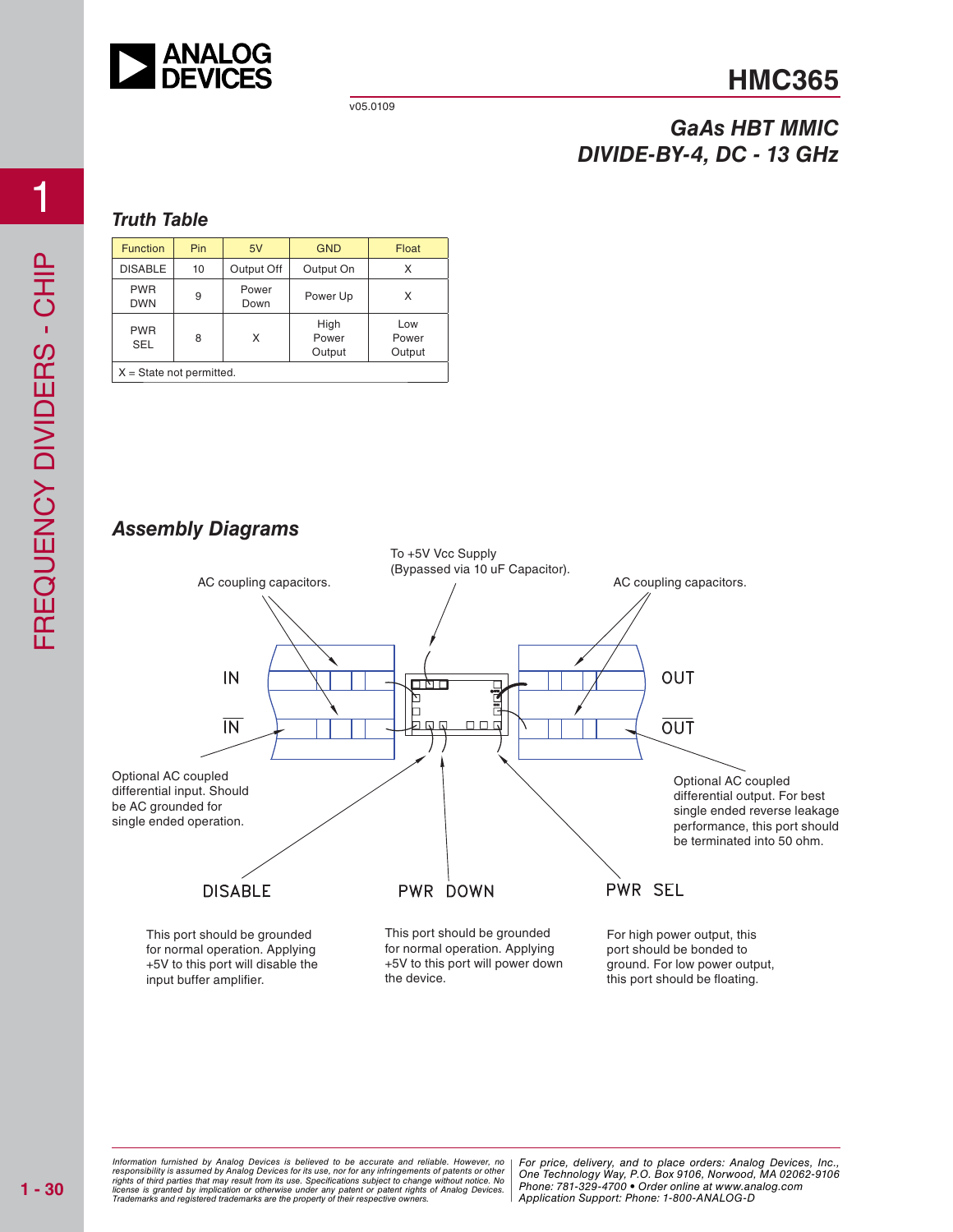

# **HMC365**

## *GaAs HBT MMIC DIVIDE-BY-4, DC - 13 GHz*

### *Truth Table*

| <b>Function</b>            | Pin | 5V            | <b>GND</b>              | Float                  |
|----------------------------|-----|---------------|-------------------------|------------------------|
| <b>DISABLE</b>             | 10  | Output Off    | Output On               |                        |
| <b>PWR</b><br><b>DWN</b>   | 9   | Power<br>Down | Power Up                | x                      |
| <b>PWR</b><br><b>SEL</b>   | 8   | X             | High<br>Power<br>Output | Low<br>Power<br>Output |
| $X = State not permitted.$ |     |               |                         |                        |

### *Assembly Diagrams*



at may result from its use. Specifications subject to change without notice. No **change in the change of the ch**<br>polication or otherwise under any patent or patent rights of Analog Devices Phone: 781-329-4700 • Order onlin pective owners. The Contract of Application St *Information furnished by Analog Devices is believed to be accurate and reliable. However, no*  responsibility is assumed by Analog Devices for its use, nor for any infringements of patents or other<br>rights of third parties that may result from its use. Specifications subject to change without notice. No<br>license is gr

d by Analog Devices is believed to be accurate and reliable. However, no | For price, delivery, and to place orders: Analog Devices, Inc.,<br>umed by Analog Devices for its use, not for any infringements of patents or other | *Phone: 781-329-4700 • Order online at www.analog.com Application Support: Phone: 1-800-ANALOG-D*